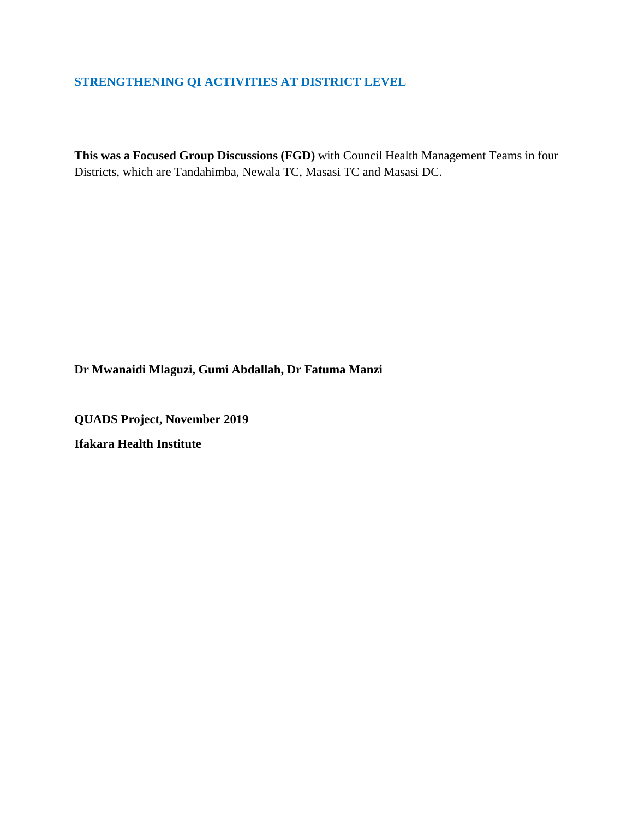# **STRENGTHENING QI ACTIVITIES AT DISTRICT LEVEL**

**This was a Focused Group Discussions (FGD)** with Council Health Management Teams in four Districts, which are Tandahimba, Newala TC, Masasi TC and Masasi DC.

**Dr Mwanaidi Mlaguzi, Gumi Abdallah, Dr Fatuma Manzi**

**QUADS Project, November 2019 Ifakara Health Institute**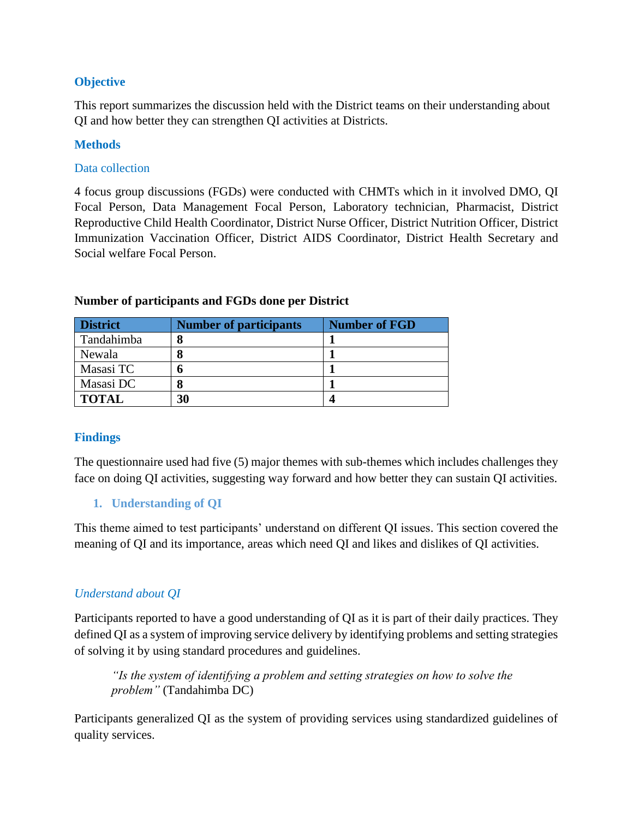## **Objective**

This report summarizes the discussion held with the District teams on their understanding about QI and how better they can strengthen QI activities at Districts.

## **Methods**

## Data collection

4 focus group discussions (FGDs) were conducted with CHMTs which in it involved DMO, QI Focal Person, Data Management Focal Person, Laboratory technician, Pharmacist, District Reproductive Child Health Coordinator, District Nurse Officer, District Nutrition Officer, District Immunization Vaccination Officer, District AIDS Coordinator, District Health Secretary and Social welfare Focal Person.

| <b>District</b> | <b>Number of participants</b> | <b>Number of FGD</b> |
|-----------------|-------------------------------|----------------------|
| Tandahimba      |                               |                      |
| Newala          |                               |                      |
| Masasi TC       |                               |                      |
| Masasi DC       |                               |                      |
| <b>TOTAL</b>    | 30                            |                      |

## **Number of participants and FGDs done per District**

## **Findings**

The questionnaire used had five (5) major themes with sub-themes which includes challenges they face on doing QI activities, suggesting way forward and how better they can sustain QI activities.

## **1. Understanding of QI**

This theme aimed to test participants' understand on different QI issues. This section covered the meaning of QI and its importance, areas which need QI and likes and dislikes of QI activities.

## *Understand about QI*

Participants reported to have a good understanding of QI as it is part of their daily practices. They defined QI as a system of improving service delivery by identifying problems and setting strategies of solving it by using standard procedures and guidelines.

*"Is the system of identifying a problem and setting strategies on how to solve the problem"* (Tandahimba DC)

Participants generalized QI as the system of providing services using standardized guidelines of quality services.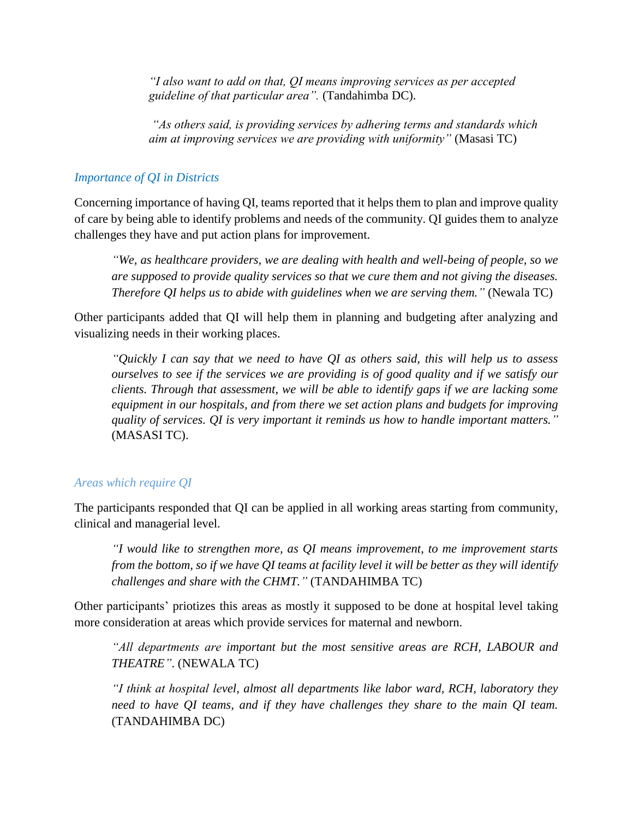*"I also want to add on that, QI means improving services as per accepted guideline of that particular area".* (Tandahimba DC).

*"As others said, is providing services by adhering terms and standards which aim at improving services we are providing with uniformity"* (Masasi TC)

#### *Importance of QI in Districts*

Concerning importance of having QI, teams reported that it helps them to plan and improve quality of care by being able to identify problems and needs of the community. QI guides them to analyze challenges they have and put action plans for improvement.

*"We, as healthcare providers, we are dealing with health and well-being of people, so we are supposed to provide quality services so that we cure them and not giving the diseases. Therefore QI helps us to abide with guidelines when we are serving them."* (Newala TC)

Other participants added that QI will help them in planning and budgeting after analyzing and visualizing needs in their working places.

*"Quickly I can say that we need to have QI as others said, this will help us to assess ourselves to see if the services we are providing is of good quality and if we satisfy our clients. Through that assessment, we will be able to identify gaps if we are lacking some equipment in our hospitals, and from there we set action plans and budgets for improving quality of services. QI is very important it reminds us how to handle important matters."* (MASASI TC).

## *Areas which require QI*

The participants responded that QI can be applied in all working areas starting from community, clinical and managerial level.

*"I would like to strengthen more, as QI means improvement, to me improvement starts from the bottom, so if we have QI teams at facility level it will be better as they will identify challenges and share with the CHMT."* (TANDAHIMBA TC)

Other participants' priotizes this areas as mostly it supposed to be done at hospital level taking more consideration at areas which provide services for maternal and newborn.

*"All departments are important but the most sensitive areas are RCH, LABOUR and THEATRE"*. (NEWALA TC)

*"I think at hospital level, almost all departments like labor ward, RCH, laboratory they need to have QI teams, and if they have challenges they share to the main QI team.* (TANDAHIMBA DC)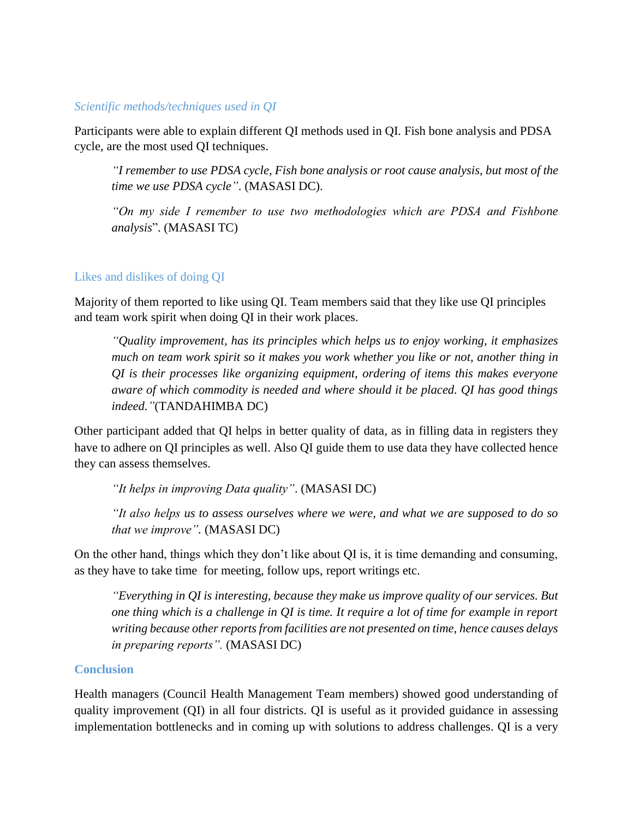#### *Scientific methods/techniques used in QI*

Participants were able to explain different QI methods used in QI. Fish bone analysis and PDSA cycle, are the most used QI techniques.

*"I remember to use PDSA cycle, Fish bone analysis or root cause analysis, but most of the time we use PDSA cycle"*. (MASASI DC).

*"On my side I remember to use two methodologies which are PDSA and Fishbone analysis*". (MASASI TC)

## Likes and dislikes of doing QI

Majority of them reported to like using QI. Team members said that they like use QI principles and team work spirit when doing QI in their work places.

*"Quality improvement, has its principles which helps us to enjoy working, it emphasizes much on team work spirit so it makes you work whether you like or not, another thing in QI is their processes like organizing equipment, ordering of items this makes everyone aware of which commodity is needed and where should it be placed. QI has good things indeed."*(TANDAHIMBA DC)

Other participant added that QI helps in better quality of data, as in filling data in registers they have to adhere on QI principles as well. Also QI guide them to use data they have collected hence they can assess themselves.

*"It helps in improving Data quality"*. (MASASI DC)

*"It also helps us to assess ourselves where we were, and what we are supposed to do so that we improve".* (MASASI DC)

On the other hand, things which they don't like about QI is, it is time demanding and consuming, as they have to take time for meeting, follow ups, report writings etc.

*"Everything in QI is interesting, because they make us improve quality of our services. But one thing which is a challenge in QI is time. It require a lot of time for example in report writing because other reports from facilities are not presented on time, hence causes delays in preparing reports".* (MASASI DC)

#### **Conclusion**

Health managers (Council Health Management Team members) showed good understanding of quality improvement (QI) in all four districts. QI is useful as it provided guidance in assessing implementation bottlenecks and in coming up with solutions to address challenges. QI is a very